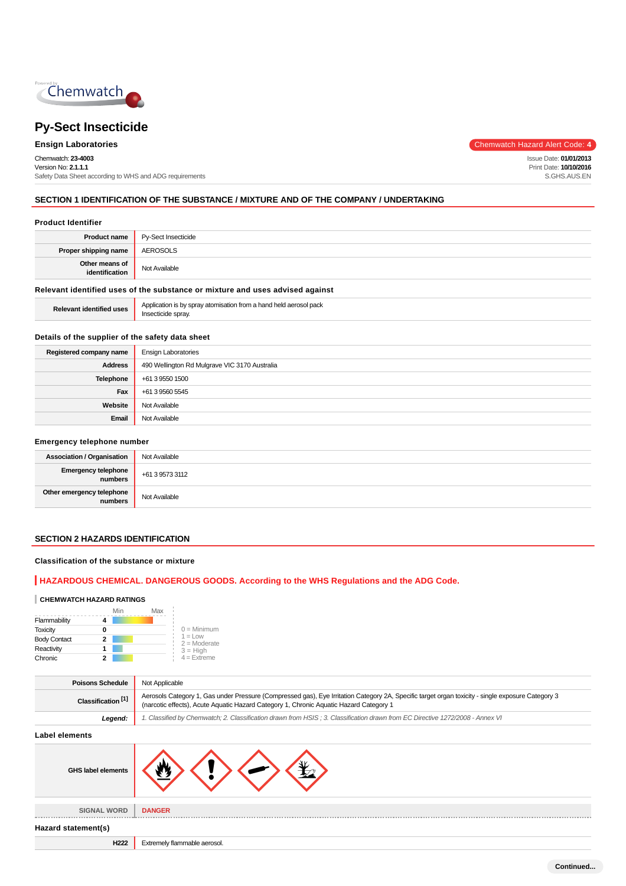

Chemwatch: **23-4003** Version No: **2.1.1.1** Safety Data Sheet according to WHS and ADG requirements

**Ensign Laboratories** Chemwatch Hazard Alert Code: 4

Issue Date: **01/01/2013** Print Date: **10/10/2016** S.GHS.AUS.EN

## **SECTION 1 IDENTIFICATION OF THE SUBSTANCE / MIXTURE AND OF THE COMPANY / UNDERTAKING**

### **Product Identifier**

| <b>Product name</b>                                                           | Py-Sect Insecticide |
|-------------------------------------------------------------------------------|---------------------|
| Proper shipping name                                                          | AEROSOLS            |
| Other means of<br>identification                                              | Not Available       |
| Relevant identified uses of the substance or mixture and uses advised against |                     |

| <b>Relevant identified uses</b> | Application is by spray atomisation from a hand held aerosol pack<br>Insecticide sprav. |
|---------------------------------|-----------------------------------------------------------------------------------------|
|---------------------------------|-----------------------------------------------------------------------------------------|

### **Details of the supplier of the safety data sheet**

| Registered company name | <b>Ensign Laboratories</b>                    |
|-------------------------|-----------------------------------------------|
| <b>Address</b>          | 490 Wellington Rd Mulgrave VIC 3170 Australia |
| <b>Telephone</b>        | +61 3 9550 1500                               |
| Fax                     | +61 3 9560 5545                               |
| Website                 | Not Available                                 |
| Email                   | Not Available                                 |

#### **Emergency telephone number**

| <b>Association / Organisation</b>     | Not Available   |
|---------------------------------------|-----------------|
| <b>Emergency telephone</b><br>numbers | +61 3 9573 3112 |
| Other emergency telephone<br>numbers  | Not Available   |

## **SECTION 2 HAZARDS IDENTIFICATION**

#### **Classification of the substance or mixture**

## **HAZARDOUS CHEMICAL. DANGEROUS GOODS. According to the WHS Regulations and the ADG Code.**

#### **CHEMWATCH HAZARD RATINGS**

|                     | Min | Max |                              |
|---------------------|-----|-----|------------------------------|
| Flammability        |     |     |                              |
| <b>Toxicity</b>     | 0   |     | $0 =$ Minimum                |
| <b>Body Contact</b> | 2   |     | $1 = 1$ OW<br>$2 =$ Moderate |
| Reactivity          |     |     | $3 = High$                   |
| Chronic             |     |     | $4 =$ Extreme                |

| <b>Poisons Schedule</b>       | Not Applicable                                                                                                                                                                                                                              |  |
|-------------------------------|---------------------------------------------------------------------------------------------------------------------------------------------------------------------------------------------------------------------------------------------|--|
| Classification <sup>[1]</sup> | Aerosols Category 1, Gas under Pressure (Compressed gas), Eye Irritation Category 2A, Specific target organ toxicity - single exposure Category 3<br>(narcotic effects), Acute Aquatic Hazard Category 1, Chronic Aquatic Hazard Category 1 |  |
| Leaend:                       | 1. Classified by Chemwatch; 2. Classification drawn from HSIS; 3. Classification drawn from EC Directive 1272/2008 - Annex VI                                                                                                               |  |

#### **Label elements**

| --- - - - - - - - - - - -          |                              |
|------------------------------------|------------------------------|
| GHS label elements                 |                              |
| <b>SIGNAL WORD</b><br>------------ | <b>DANGER</b>                |
| Hazard statement(s)                |                              |
| H222                               | Extremely flammable aerosol. |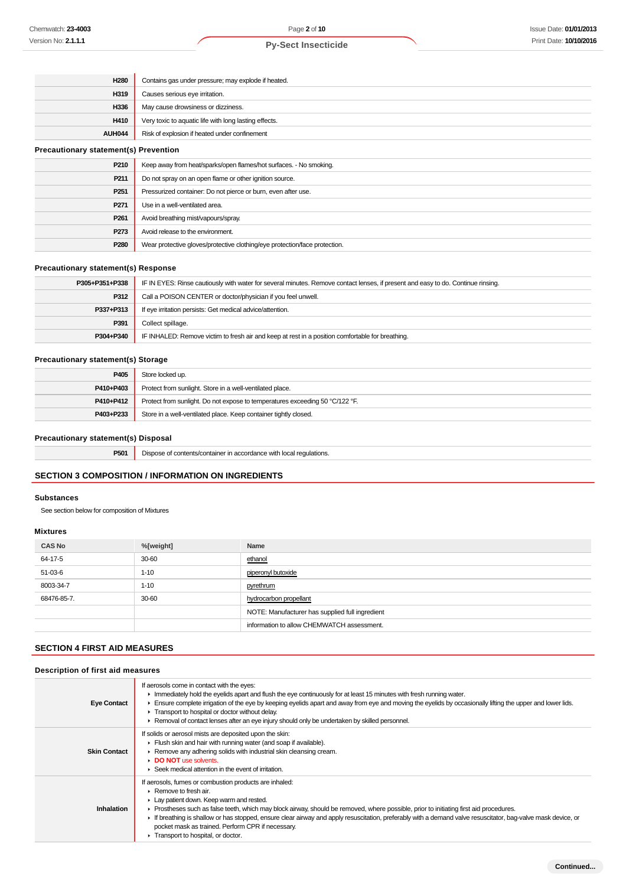| <b>H280</b>                                  | Contains gas under pressure; may explode if heated.                |  |
|----------------------------------------------|--------------------------------------------------------------------|--|
| H319                                         | Causes serious eye irritation.                                     |  |
| H336                                         | May cause drowsiness or dizziness.                                 |  |
| H410                                         | Very toxic to aquatic life with long lasting effects.              |  |
| AUH044                                       | Risk of explosion if heated under confinement                      |  |
| <b>Precautionary statement(s) Prevention</b> |                                                                    |  |
| P210                                         | Keep away from heat/sparks/open flames/hot surfaces. - No smoking. |  |
| P211                                         | Do not spray on an open flame or other ignition source.            |  |
| P <sub>251</sub>                             | Pressurized container: Do not pierce or burn, even after use.      |  |
| P271                                         | Use in a well-ventilated area.                                     |  |
| P <sub>261</sub>                             | Avoid breathing mist/vapours/spray.                                |  |

#### **Precautionary statement(s) Response**

| P305+P351+P338 | IF IN EYES: Rinse cautiously with water for several minutes. Remove contact lenses, if present and easy to do. Continue rinsing. |
|----------------|----------------------------------------------------------------------------------------------------------------------------------|
| P312           | Call a POISON CENTER or doctor/physician if you feel unwell.                                                                     |
| P337+P313      | If eye irritation persists: Get medical advice/attention.                                                                        |
| P391           | Collect spillage.                                                                                                                |
| P304+P340      | IF INHALED: Remove victim to fresh air and keep at rest in a position comfortable for breathing.                                 |

#### **Precautionary statement(s) Storage**

| P405      | Store locked up.                                                             |
|-----------|------------------------------------------------------------------------------|
| P410+P403 | Protect from sunlight. Store in a well-ventilated place.                     |
| P410+P412 | Protect from sunlight. Do not expose to temperatures exceeding 50 °C/122 °F. |
| P403+P233 | Store in a well-ventilated place. Keep container tightly closed.             |

# **Precautionary statement(s) Disposal**

| P501<br>requiations.<br>Disr<br>າ accordance with<br>∵ <u>contents/contairie</u> … |
|------------------------------------------------------------------------------------|
|------------------------------------------------------------------------------------|

## **SECTION 3 COMPOSITION / INFORMATION ON INGREDIENTS**

**P273** Avoid release to the environment.

**P280** Wear protective gloves/protective clothing/eye protection/face protection.

#### **Substances**

See section below for composition of Mixtures

#### **Mixtures**

| <b>CAS No</b> | %[weight] | Name                                            |
|---------------|-----------|-------------------------------------------------|
| 64-17-5       | 30-60     | ethanol                                         |
| 51-03-6       | $1 - 10$  | piperonyl butoxide                              |
| 8003-34-7     | $1 - 10$  | pyrethrum                                       |
| 68476-85-7.   | 30-60     | hydrocarbon propellant                          |
|               |           | NOTE: Manufacturer has supplied full ingredient |
|               |           | information to allow CHEMWATCH assessment.      |

## **SECTION 4 FIRST AID MEASURES**

#### **Description of first aid measures**

| <b>Eye Contact</b>  | If aerosols come in contact with the eyes:<br>Immediately hold the eyelids apart and flush the eye continuously for at least 15 minutes with fresh running water.<br>Ensure complete irrigation of the eye by keeping eyelids apart and away from eye and moving the eyelids by occasionally lifting the upper and lower lids.<br>Transport to hospital or doctor without delay.                                                                                                                                                              |
|---------------------|-----------------------------------------------------------------------------------------------------------------------------------------------------------------------------------------------------------------------------------------------------------------------------------------------------------------------------------------------------------------------------------------------------------------------------------------------------------------------------------------------------------------------------------------------|
|                     | ► Removal of contact lenses after an eye injury should only be undertaken by skilled personnel.                                                                                                                                                                                                                                                                                                                                                                                                                                               |
| <b>Skin Contact</b> | If solids or aerosol mists are deposited upon the skin:<br>Flush skin and hair with running water (and soap if available).<br>Remove any adhering solids with industrial skin cleansing cream.<br>DO NOT use solvents.<br>$\blacktriangleright$ Seek medical attention in the event of irritation.                                                                                                                                                                                                                                            |
| <b>Inhalation</b>   | If aerosols, fumes or combustion products are inhaled:<br>$\triangleright$ Remove to fresh air.<br>Lay patient down. Keep warm and rested.<br>► Prostheses such as false teeth, which may block airway, should be removed, where possible, prior to initiating first aid procedures.<br>If breathing is shallow or has stopped, ensure clear airway and apply resuscitation, preferably with a demand valve resuscitator, bag-valve mask device, or<br>pocket mask as trained. Perform CPR if necessary.<br>Transport to hospital, or doctor. |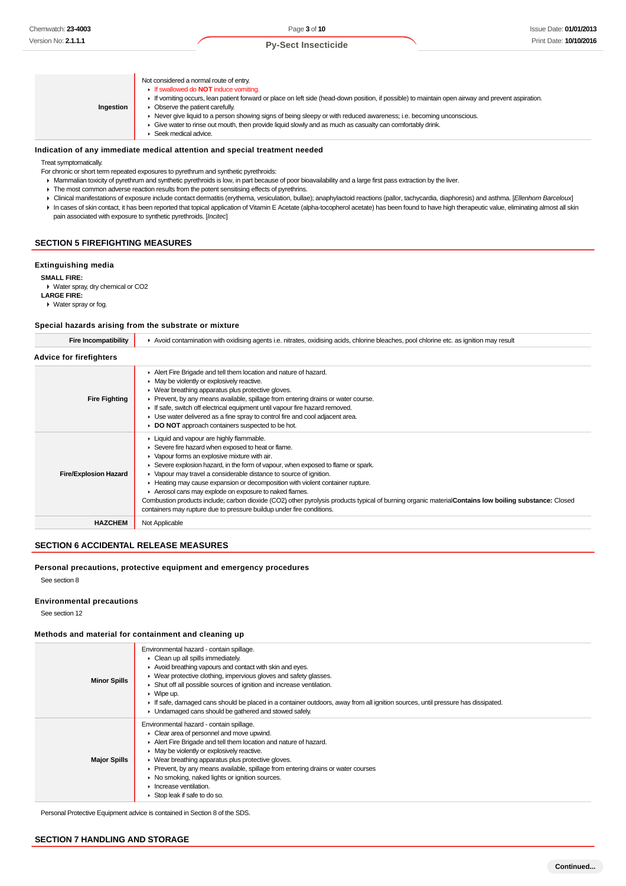| Ingestion | Not considered a normal route of entry.<br>If swallowed do <b>NOT</b> induce vomiting.<br>If vomiting occurs, lean patient forward or place on left side (head-down position, if possible) to maintain open airway and prevent aspiration.<br>Observe the patient carefully.<br>Never give liquid to a person showing signs of being sleepy or with reduced awareness; i.e. becoming unconscious.<br>Give water to rinse out mouth, then provide liquid slowly and as much as casualty can comfortably drink.<br>Seek medical advice. |
|-----------|---------------------------------------------------------------------------------------------------------------------------------------------------------------------------------------------------------------------------------------------------------------------------------------------------------------------------------------------------------------------------------------------------------------------------------------------------------------------------------------------------------------------------------------|

#### **Indication of any immediate medical attention and special treatment needed**

Treat symptomatically.

- For chronic or short term repeated exposures to pyrethrum and synthetic pyrethroids:
- Mammalian toxicity of pyrethrum and synthetic pyrethroids is low, in part because of poor bioavailability and a large first pass extraction by the liver.
- The most common adverse reaction results from the potent sensitising effects of pyrethrins.
- ▶ Clinical manifestations of exposure include contact dermatitis (erythema, vesiculation, bullae); anaphylactoid reactions (pallor, tachycardia, diaphoresis) and asthma. [Ellenhorn Barceloux] In cases of skin contact, it has been reported that topical application of Vitamin E Acetate (alpha-tocopherol acetate) has been found to have high therapeutic value, eliminating almost all skin
- pain associated with exposure to synthetic pyrethroids. [Incitec]

## **SECTION 5 FIREFIGHTING MEASURES**

#### **Extinguishing media**

**SMALL FIRE:**

- Water spray, dry chemical or CO2 **LARGE FIRE:**
- Water spray or fog.

## **Special hazards arising from the substrate or mixture**

| Special nazarus arising from the substrate or mixture |                                                                                                                                                                                                                                                                                                                                                                                                                                                                                                                                                                                                                                                                                     |  |  |  |  |  |
|-------------------------------------------------------|-------------------------------------------------------------------------------------------------------------------------------------------------------------------------------------------------------------------------------------------------------------------------------------------------------------------------------------------------------------------------------------------------------------------------------------------------------------------------------------------------------------------------------------------------------------------------------------------------------------------------------------------------------------------------------------|--|--|--|--|--|
| <b>Fire Incompatibility</b>                           | Avoid contamination with oxidising agents i.e. nitrates, oxidising acids, chlorine bleaches, pool chlorine etc. as ignition may result                                                                                                                                                                                                                                                                                                                                                                                                                                                                                                                                              |  |  |  |  |  |
| Advice for firefighters                               |                                                                                                                                                                                                                                                                                                                                                                                                                                                                                                                                                                                                                                                                                     |  |  |  |  |  |
| <b>Fire Fighting</b>                                  | Alert Fire Brigade and tell them location and nature of hazard.<br>• May be violently or explosively reactive.<br>• Wear breathing apparatus plus protective gloves.<br>▶ Prevent, by any means available, spillage from entering drains or water course.<br>If safe, switch off electrical equipment until vapour fire hazard removed.<br>• Use water delivered as a fine spray to control fire and cool adjacent area.<br>DO NOT approach containers suspected to be hot.                                                                                                                                                                                                         |  |  |  |  |  |
| <b>Fire/Explosion Hazard</b>                          | Liquid and vapour are highly flammable.<br>Severe fire hazard when exposed to heat or flame.<br>• Vapour forms an explosive mixture with air.<br>Severe explosion hazard, in the form of vapour, when exposed to flame or spark.<br>▶ Vapour may travel a considerable distance to source of ignition.<br>► Heating may cause expansion or decomposition with violent container rupture.<br>Aerosol cans may explode on exposure to naked flames.<br>Combustion products include; carbon dioxide (CO2) other pyrolysis products typical of burning organic material Contains low boiling substance: Closed<br>containers may rupture due to pressure buildup under fire conditions. |  |  |  |  |  |
| <b>HAZCHEM</b>                                        | Not Applicable                                                                                                                                                                                                                                                                                                                                                                                                                                                                                                                                                                                                                                                                      |  |  |  |  |  |

#### **SECTION 6 ACCIDENTAL RELEASE MEASURES**

#### **Personal precautions, protective equipment and emergency procedures**

See section 8

#### **Environmental precautions**

See section 12

#### **Methods and material for containment and cleaning up**

| <b>Minor Spills</b> | Environmental hazard - contain spillage.<br>$\triangleright$ Clean up all spills immediately.<br>Avoid breathing vapours and contact with skin and eyes.<br>▶ Wear protective clothing, impervious gloves and safety glasses.<br>Shut off all possible sources of ignition and increase ventilation.<br>$\triangleright$ Wipe up.<br>If safe, damaged cans should be placed in a container outdoors, away from all ignition sources, until pressure has dissipated.<br>• Undamaged cans should be gathered and stowed safely. |
|---------------------|-------------------------------------------------------------------------------------------------------------------------------------------------------------------------------------------------------------------------------------------------------------------------------------------------------------------------------------------------------------------------------------------------------------------------------------------------------------------------------------------------------------------------------|
| <b>Major Spills</b> | Environmental hazard - contain spillage.<br>• Clear area of personnel and move upwind.<br>Alert Fire Brigade and tell them location and nature of hazard.<br>• May be violently or explosively reactive.<br>• Wear breathing apparatus plus protective gloves.<br>• Prevent, by any means available, spillage from entering drains or water courses<br>▶ No smoking, naked lights or ignition sources.<br>$\blacktriangleright$ Increase ventilation.<br>Stop leak if safe to do so.                                          |

Personal Protective Equipment advice is contained in Section 8 of the SDS.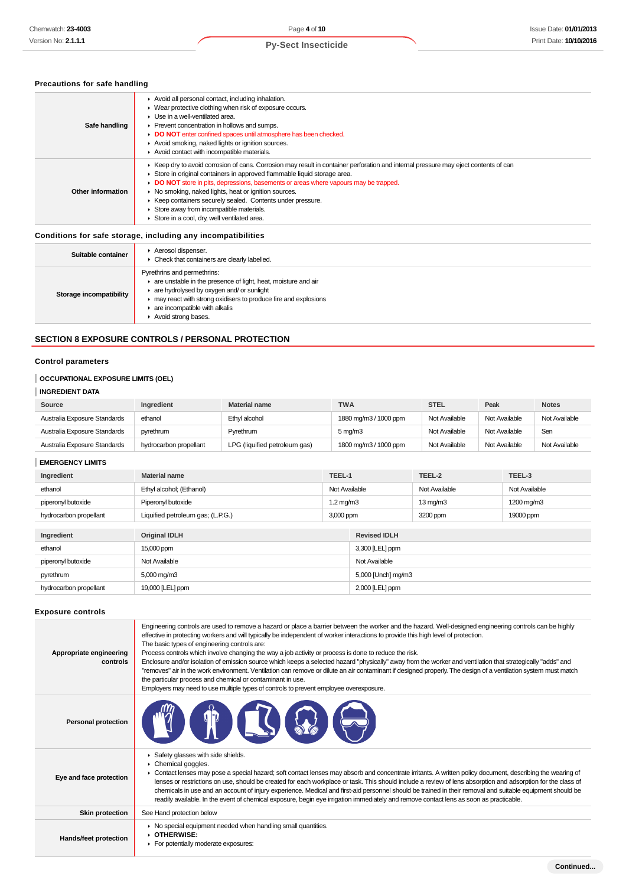## **Precautions for safe handling**

| Safe handling     | Avoid all personal contact, including inhalation.<br>• Wear protective clothing when risk of exposure occurs.<br>$\blacktriangleright$ Use in a well-ventilated area.<br>▶ Prevent concentration in hollows and sumps.<br>DO NOT enter confined spaces until atmosphere has been checked.<br>Avoid smoking, naked lights or ignition sources.<br>Avoid contact with incompatible materials.                                                                                                                                |
|-------------------|----------------------------------------------------------------------------------------------------------------------------------------------------------------------------------------------------------------------------------------------------------------------------------------------------------------------------------------------------------------------------------------------------------------------------------------------------------------------------------------------------------------------------|
| Other information | ► Keep dry to avoid corrosion of cans. Corrosion may result in container perforation and internal pressure may eject contents of can<br>Store in original containers in approved flammable liquid storage area.<br>• DO NOT store in pits, depressions, basements or areas where vapours may be trapped.<br>▶ No smoking, naked lights, heat or ignition sources.<br>▶ Keep containers securely sealed. Contents under pressure.<br>Store away from incompatible materials.<br>Store in a cool, dry, well ventilated area. |

## **Conditions for safe storage, including any incompatibilities**

| Suitable container      | Aerosol dispenser.<br>• Check that containers are clearly labelled.                                                                                                                                                                                                 |
|-------------------------|---------------------------------------------------------------------------------------------------------------------------------------------------------------------------------------------------------------------------------------------------------------------|
| Storage incompatibility | Pyrethrins and permethrins:<br>are unstable in the presence of light, heat, moisture and air<br>are hydrolysed by oxygen and/ or sunlight<br>may react with strong oxidisers to produce fire and explosions<br>are incompatible with alkalis<br>Avoid strong bases. |

## **SECTION 8 EXPOSURE CONTROLS / PERSONAL PROTECTION**

## **Control parameters**

## **OCCUPATIONAL EXPOSURE LIMITS (OEL)**

## **INGREDIENT DATA**

| Source                       | Ingredient             | <b>Material name</b>          | <b>TWA</b>            | <b>STEL</b>   | Peak          | <b>Notes</b>  |
|------------------------------|------------------------|-------------------------------|-----------------------|---------------|---------------|---------------|
| Australia Exposure Standards | ethanol                | Ethyl alcohol                 | 1880 mg/m3 / 1000 ppm | Not Available | Not Available | Not Available |
| Australia Exposure Standards | pyrethrum              | Pyrethrum                     | $5 \,\mathrm{mg/m}$   | Not Available | Not Available | Sen           |
| Australia Exposure Standards | hydrocarbon propellant | LPG (liquified petroleum gas) | 1800 mg/m3 / 1000 ppm | Not Available | Not Available | Not Available |

## **EMERGENCY LIMITS**

| Ingredient             | <b>Material name</b>              | TEEL-1             |                     | TEEL-2               | TEEL-3        |
|------------------------|-----------------------------------|--------------------|---------------------|----------------------|---------------|
| ethanol                | Ethyl alcohol; (Ethanol)          | Not Available      |                     | Not Available        | Not Available |
| piperonyl butoxide     | Piperonyl butoxide                | $1.2 \text{ mg/m}$ |                     | $13 \,\mathrm{mq/m}$ | 1200 mg/m3    |
| hydrocarbon propellant | Liquified petroleum gas; (L.P.G.) | 3,000 ppm          |                     | 3200 ppm             | 19000 ppm     |
|                        |                                   |                    |                     |                      |               |
| Ingredient             | <b>Original IDLH</b>              |                    | <b>Revised IDLH</b> |                      |               |
| ethanol                | 15,000 ppm                        |                    | 3,300 [LEL] ppm     |                      |               |
| piperonyl butoxide     | Not Available                     |                    | Not Available       |                      |               |
| pyrethrum              | 5,000 mg/m3                       |                    | 5,000 [Unch] mg/m3  |                      |               |
| hydrocarbon propellant | 19,000 [LEL] ppm                  |                    | 2,000 [LEL] ppm     |                      |               |

#### **Exposure controls**

| Appropriate engineering<br>controls | Engineering controls are used to remove a hazard or place a barrier between the worker and the hazard. Well-designed engineering controls can be highly<br>effective in protecting workers and will typically be independent of worker interactions to provide this high level of protection.<br>The basic types of engineering controls are:<br>Process controls which involve changing the way a job activity or process is done to reduce the risk.<br>Enclosure and/or isolation of emission source which keeps a selected hazard "physically" away from the worker and ventilation that strategically "adds" and<br>"removes" air in the work environment. Ventilation can remove or dilute an air contaminant if designed properly. The design of a ventilation system must match<br>the particular process and chemical or contaminant in use.<br>Employers may need to use multiple types of controls to prevent employee overexposure. |
|-------------------------------------|-------------------------------------------------------------------------------------------------------------------------------------------------------------------------------------------------------------------------------------------------------------------------------------------------------------------------------------------------------------------------------------------------------------------------------------------------------------------------------------------------------------------------------------------------------------------------------------------------------------------------------------------------------------------------------------------------------------------------------------------------------------------------------------------------------------------------------------------------------------------------------------------------------------------------------------------------|
| <b>Personal protection</b>          | T                                                                                                                                                                                                                                                                                                                                                                                                                                                                                                                                                                                                                                                                                                                                                                                                                                                                                                                                               |
| Eye and face protection             | Safety glasses with side shields.<br>Chemical goggles.<br>► Contact lenses may pose a special hazard; soft contact lenses may absorb and concentrate irritants. A written policy document, describing the wearing of<br>lenses or restrictions on use, should be created for each workplace or task. This should include a review of lens absorption and adsorption for the class of<br>chemicals in use and an account of injury experience. Medical and first-aid personnel should be trained in their removal and suitable equipment should be<br>readily available. In the event of chemical exposure, begin eye irrigation immediately and remove contact lens as soon as practicable.                                                                                                                                                                                                                                                     |
| <b>Skin protection</b>              | See Hand protection below                                                                                                                                                                                                                                                                                                                                                                                                                                                                                                                                                                                                                                                                                                                                                                                                                                                                                                                       |
| <b>Hands/feet protection</b>        | • No special equipment needed when handling small quantities.<br><b>DIHERWISE:</b><br>For potentially moderate exposures:                                                                                                                                                                                                                                                                                                                                                                                                                                                                                                                                                                                                                                                                                                                                                                                                                       |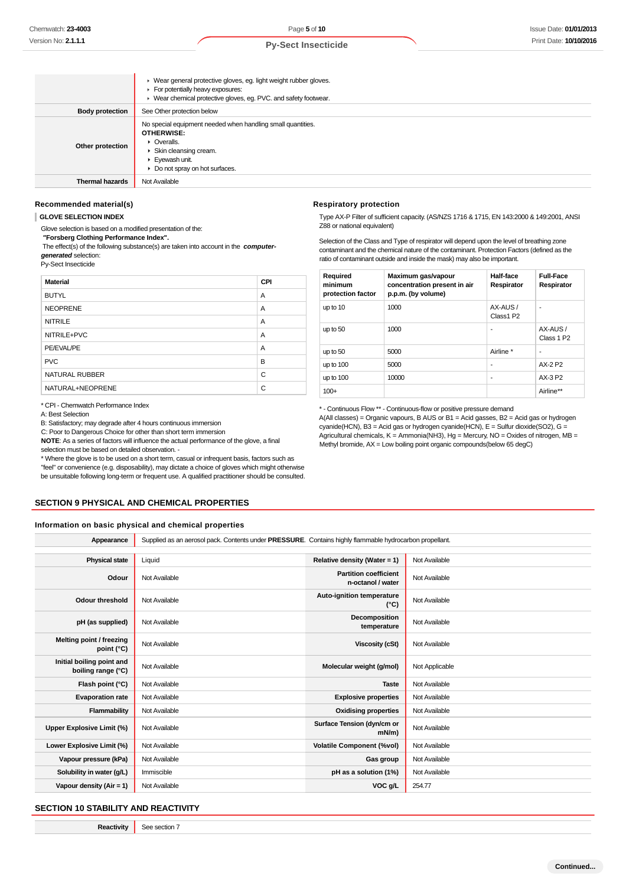|                        | ▶ Wear general protective gloves, eg. light weight rubber gloves.<br>For potentially heavy exposures:<br>▶ Wear chemical protective gloves, eg. PVC. and safety footwear.              |
|------------------------|----------------------------------------------------------------------------------------------------------------------------------------------------------------------------------------|
| <b>Body protection</b> | See Other protection below                                                                                                                                                             |
| Other protection       | No special equipment needed when handling small quantities.<br>OTHERWISE:<br>• Overalls.<br>▶ Skin cleansing cream.<br>Eyewash unit.<br>$\triangleright$ Do not spray on hot surfaces. |
| <b>Thermal hazards</b> | Not Available                                                                                                                                                                          |

#### **Recommended material(s)**

**GLOVE SELECTION INDEX**

Glove selection is based on a modified presentation of the:

 **"Forsberg Clothing Performance Index".**

 The effect(s) of the following substance(s) are taken into account in the **computergenerated** selection:

Py-Sect Insecticide

| <b>Material</b>       | CPI |
|-----------------------|-----|
| <b>BUTYL</b>          | A   |
| <b>NEOPRENE</b>       | A   |
| <b>NITRILE</b>        | A   |
| NITRILE+PVC           | A   |
| PE/EVAL/PE            | A   |
| <b>PVC</b>            | B   |
| <b>NATURAL RUBBER</b> | C   |
| NATURAL+NEOPRENE      | С   |

\* CPI - Chemwatch Performance Index

A: Best Selection

B: Satisfactory; may degrade after 4 hours continuous immersion

C: Poor to Dangerous Choice for other than short term immersion

**NOTE**: As a series of factors will influence the actual performance of the glove, a final selection must be based on detailed observation -

\* Where the glove is to be used on a short term, casual or infrequent basis, factors such as "feel" or convenience (e.g. disposability), may dictate a choice of gloves which might otherwise be unsuitable following long-term or frequent use. A qualified practitioner should be consulted.

## **SECTION 9 PHYSICAL AND CHEMICAL PROPERTIES**

#### **Information on basic physical and chemical properties**

| Supplied as an aerosol pack. Contents under PRESSURE. Contains highly flammable hydrocarbon propellant. |                                                   |                |  |  |
|---------------------------------------------------------------------------------------------------------|---------------------------------------------------|----------------|--|--|
|                                                                                                         |                                                   |                |  |  |
| Liquid                                                                                                  | Relative density (Water = 1)                      | Not Available  |  |  |
| Not Available                                                                                           | <b>Partition coefficient</b><br>n-octanol / water | Not Available  |  |  |
| Not Available                                                                                           | Auto-ignition temperature<br>$(^{\circ}C)$        | Not Available  |  |  |
| Not Available                                                                                           | Decomposition<br>temperature                      | Not Available  |  |  |
| Not Available                                                                                           | Viscosity (cSt)                                   | Not Available  |  |  |
| Not Available                                                                                           | Molecular weight (g/mol)                          | Not Applicable |  |  |
| Not Available                                                                                           | <b>Taste</b>                                      | Not Available  |  |  |
| Not Available                                                                                           | <b>Explosive properties</b>                       | Not Available  |  |  |
| Not Available                                                                                           | <b>Oxidising properties</b>                       | Not Available  |  |  |
| Not Available                                                                                           | Surface Tension (dyn/cm or<br>$mN/m$ )            | Not Available  |  |  |
| Not Available                                                                                           | <b>Volatile Component (%vol)</b>                  | Not Available  |  |  |
| Not Available                                                                                           | Gas group                                         | Not Available  |  |  |
| Immiscible                                                                                              | pH as a solution (1%)                             | Not Available  |  |  |
| Not Available                                                                                           | VOC g/L                                           | 254.77         |  |  |
|                                                                                                         |                                                   |                |  |  |

#### **SECTION 10 STABILITY AND REACTIVITY**

**Reactivity** See section 7

#### **Respiratory protection**

Type AX-P Filter of sufficient capacity. (AS/NZS 1716 & 1715, EN 143:2000 & 149:2001, ANSI Z88 or national equivalent)

Selection of the Class and Type of respirator will depend upon the level of breathing zone contaminant and the chemical nature of the contaminant. Protection Factors (defined as the ratio of contaminant outside and inside the mask) may also be important.

| Required<br>minimum<br>protection factor | Maximum gas/vapour<br>concentration present in air<br>p.p.m. (by volume) | Half-face<br>Respirator | <b>Full-Face</b><br>Respirator    |
|------------------------------------------|--------------------------------------------------------------------------|-------------------------|-----------------------------------|
| up to 10                                 | 1000                                                                     | AX-AUS/<br>Class1 P2    |                                   |
| up to 50                                 | 1000                                                                     | ٠                       | AX-AUS/<br>Class 1 P <sub>2</sub> |
| up to 50                                 | 5000                                                                     | Airline *               | ۰                                 |
| up to $100$                              | 5000                                                                     | ٠                       | AX-2 P2                           |
| up to $100$                              | 10000                                                                    | ٠                       | AX-3 P2                           |
| $100+$                                   |                                                                          |                         | Airline**                         |

\* - Continuous Flow \*\* - Continuous-flow or positive pressure demand

A(All classes) = Organic vapours, B AUS or B1 = Acid gasses, B2 = Acid gas or hydrogen cyanide(HCN), B3 = Acid gas or hydrogen cyanide(HCN),  $E =$  Sulfur dioxide(SO2), G = Agricultural chemicals, K = Ammonia(NH3), Hg = Mercury, NO = Oxides of nitrogen, MB = Methyl bromide, AX = Low boiling point organic compounds(below 65 degC)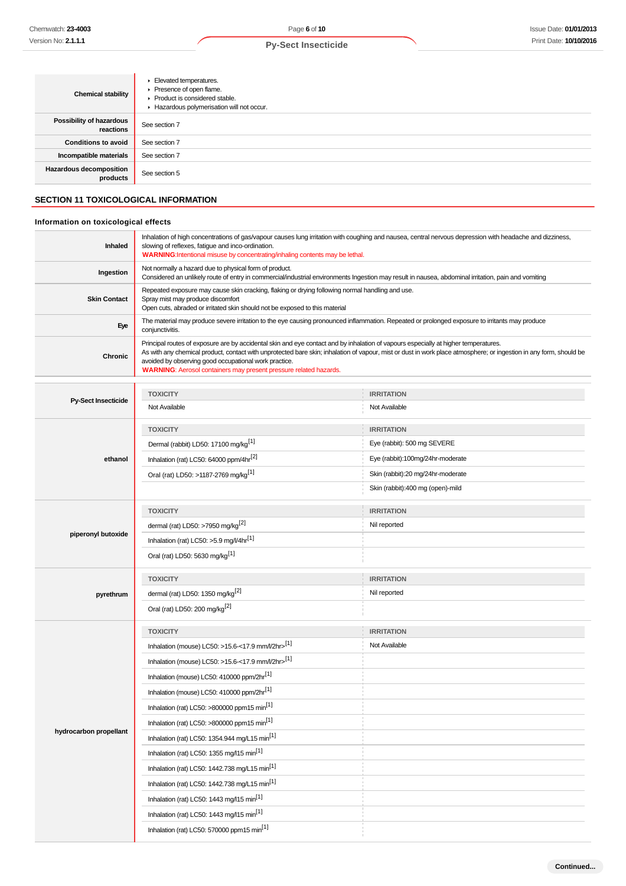| <b>Chemical stability</b>                  | Elevated temperatures.<br>Presence of open flame.<br>▶ Product is considered stable.<br>Hazardous polymerisation will not occur. |
|--------------------------------------------|----------------------------------------------------------------------------------------------------------------------------------|
| Possibility of hazardous<br>reactions      | See section 7                                                                                                                    |
| <b>Conditions to avoid</b>                 | See section 7                                                                                                                    |
| Incompatible materials                     | See section 7                                                                                                                    |
| <b>Hazardous decomposition</b><br>products | See section 5                                                                                                                    |

## **SECTION 11 TOXICOLOGICAL INFORMATION**

## **Information on toxicological effects**

| Inhaled             | Inhalation of high concentrations of gas/vapour causes lung irritation with coughing and nausea, central nervous depression with headache and dizziness,<br>slowing of reflexes, fatigue and inco-ordination.<br>WARNING: Intentional misuse by concentrating/inhaling contents may be lethal.                                                                                                                                                 |
|---------------------|------------------------------------------------------------------------------------------------------------------------------------------------------------------------------------------------------------------------------------------------------------------------------------------------------------------------------------------------------------------------------------------------------------------------------------------------|
| Ingestion           | Not normally a hazard due to physical form of product.<br>Considered an unlikely route of entry in commercial/industrial environments Ingestion may result in nausea, abdominal irritation, pain and vomiting                                                                                                                                                                                                                                  |
| <b>Skin Contact</b> | Repeated exposure may cause skin cracking, flaking or drying following normal handling and use.<br>Spray mist may produce discomfort<br>Open cuts, abraded or irritated skin should not be exposed to this material                                                                                                                                                                                                                            |
| Eye                 | The material may produce severe irritation to the eye causing pronounced inflammation. Repeated or prolonged exposure to irritants may produce<br>conjunctivitis.                                                                                                                                                                                                                                                                              |
| <b>Chronic</b>      | Principal routes of exposure are by accidental skin and eye contact and by inhalation of vapours especially at higher temperatures.<br>As with any chemical product, contact with unprotected bare skin; inhalation of vapour, mist or dust in work place atmosphere; or ingestion in any form, should be<br>avoided by observing good occupational work practice.<br><b>WARNING:</b> Aerosol containers may present pressure related hazards. |

|                        | <b>TOXICITY</b>                                           | <b>IRRITATION</b>                 |
|------------------------|-----------------------------------------------------------|-----------------------------------|
| Py-Sect Insecticide    | Not Available                                             | Not Available                     |
|                        | <b>TOXICITY</b>                                           | <b>IRRITATION</b>                 |
|                        | Dermal (rabbit) LD50: 17100 mg/kg <sup>[1]</sup>          | Eye (rabbit): 500 mg SEVERE       |
| ethanol                | Inhalation (rat) LC50: 64000 ppm/4hr <sup>[2]</sup>       | Eye (rabbit):100mg/24hr-moderate  |
|                        | Oral (rat) LD50: >1187-2769 mg/kg <sup>[1]</sup>          | Skin (rabbit):20 mg/24hr-moderate |
|                        |                                                           | Skin (rabbit):400 mg (open)-mild  |
|                        | <b>TOXICITY</b>                                           | <b>IRRITATION</b>                 |
|                        | dermal (rat) LD50: >7950 mg/kg <sup>[2]</sup>             | Nil reported                      |
| piperonyl butoxide     | Inhalation (rat) LC50: >5.9 mg/l/4hr[1]                   |                                   |
|                        | Oral (rat) LD50: 5630 mg/kg <sup>[1]</sup>                |                                   |
|                        | <b>TOXICITY</b>                                           | <b>IRRITATION</b>                 |
| pyrethrum              | dermal (rat) LD50: 1350 mg/kg <sup>[2]</sup>              | Nil reported                      |
|                        | Oral (rat) LD50: 200 mg/kg <sup>[2]</sup>                 |                                   |
|                        | <b>TOXICITY</b>                                           | <b>IRRITATION</b>                 |
|                        | Inhalation (mouse) LC50: >15.6-<17.9 mm/l/2hr>[1]         | Not Available                     |
|                        | Inhalation (mouse) LC50: >15.6-<17.9 mm/l/2hr>[1]         |                                   |
|                        | Inhalation (mouse) LC50: 410000 ppm/2hr <sup>[1]</sup>    |                                   |
|                        | Inhalation (mouse) LC50: 410000 ppm/2hr <sup>[1]</sup>    |                                   |
|                        | Inhalation (rat) LC50: >800000 ppm15 min <sup>[1]</sup>   |                                   |
|                        | Inhalation (rat) LC50: >800000 ppm15 min <sup>[1]</sup>   |                                   |
| hydrocarbon propellant | Inhalation (rat) LC50: 1354.944 mg/L15 min <sup>[1]</sup> |                                   |
|                        | Inhalation (rat) LC50: 1355 mg/l15 min <sup>[1]</sup>     |                                   |
|                        | Inhalation (rat) LC50: 1442.738 mg/L15 min <sup>[1]</sup> |                                   |
|                        | Inhalation (rat) LC50: 1442.738 mg/L15 min <sup>[1]</sup> |                                   |
|                        | Inhalation (rat) LC50: 1443 mg/l15 min <sup>[1]</sup>     |                                   |
|                        | Inhalation (rat) LC50: 1443 mg/l15 min <sup>[1]</sup>     |                                   |
|                        | Inhalation (rat) LC50: 570000 ppm15 min <sup>[1]</sup>    |                                   |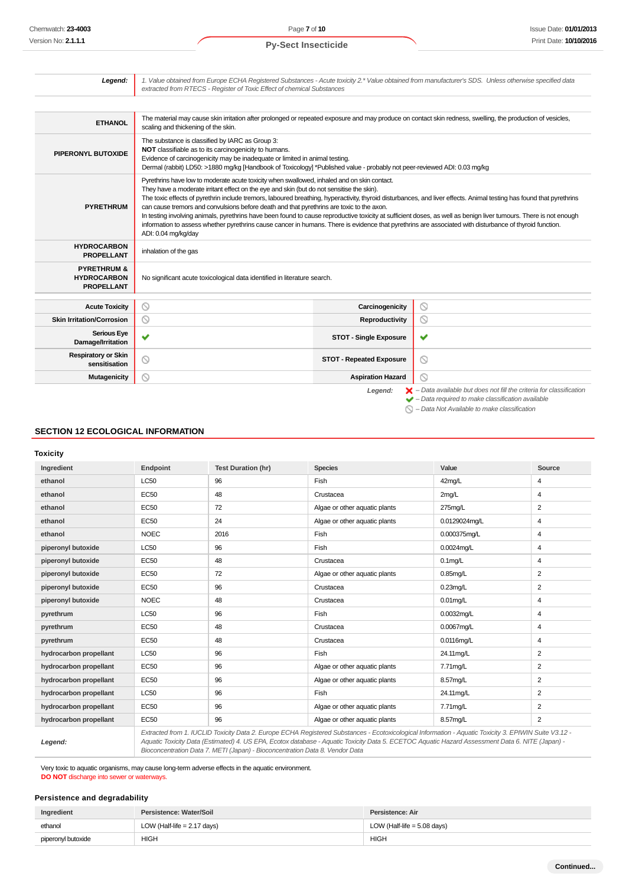| Legend:                                                           | 1. Value obtained from Europe ECHA Registered Substances - Acute toxicity 2.* Value obtained from manufacturer's SDS. Unless otherwise specified data<br>extracted from RTECS - Register of Toxic Effect of chemical Substances                                                                                                                                                                                                                                                                                                                                                                                                                                                                                                                                                                                      |                                 |                                                                                                                                                                    |
|-------------------------------------------------------------------|----------------------------------------------------------------------------------------------------------------------------------------------------------------------------------------------------------------------------------------------------------------------------------------------------------------------------------------------------------------------------------------------------------------------------------------------------------------------------------------------------------------------------------------------------------------------------------------------------------------------------------------------------------------------------------------------------------------------------------------------------------------------------------------------------------------------|---------------------------------|--------------------------------------------------------------------------------------------------------------------------------------------------------------------|
|                                                                   |                                                                                                                                                                                                                                                                                                                                                                                                                                                                                                                                                                                                                                                                                                                                                                                                                      |                                 |                                                                                                                                                                    |
| <b>ETHANOL</b>                                                    | The material may cause skin irritation after prolonged or repeated exposure and may produce on contact skin redness, swelling, the production of vesicles,<br>scaling and thickening of the skin.                                                                                                                                                                                                                                                                                                                                                                                                                                                                                                                                                                                                                    |                                 |                                                                                                                                                                    |
| PIPERONYL BUTOXIDE                                                | The substance is classified by IARC as Group 3:<br>NOT classifiable as to its carcinogenicity to humans.<br>Evidence of carcinogenicity may be inadequate or limited in animal testing.<br>Dermal (rabbit) LD50: >1880 mg/kg [Handbook of Toxicology] *Published value - probably not peer-reviewed ADI: 0.03 mg/kg                                                                                                                                                                                                                                                                                                                                                                                                                                                                                                  |                                 |                                                                                                                                                                    |
| <b>PYRETHRUM</b>                                                  | Pyrethrins have low to moderate acute toxicity when swallowed, inhaled and on skin contact.<br>They have a moderate irritant effect on the eye and skin (but do not sensitise the skin).<br>The toxic effects of pyrethrin include tremors, laboured breathing, hyperactivity, thyroid disturbances, and liver effects. Animal testing has found that pyrethrins<br>can cause tremors and convulsions before death and that pyrethrins are toxic to the axon.<br>In testing involving animals, pyrethrins have been found to cause reproductive toxicity at sufficient doses, as well as benign liver tumours. There is not enough<br>information to assess whether pyrethrins cause cancer in humans. There is evidence that pyrethrins are associated with disturbance of thyroid function.<br>ADI: 0.04 mg/kg/day |                                 |                                                                                                                                                                    |
| <b>HYDROCARBON</b><br><b>PROPELLANT</b>                           | inhalation of the gas                                                                                                                                                                                                                                                                                                                                                                                                                                                                                                                                                                                                                                                                                                                                                                                                |                                 |                                                                                                                                                                    |
| <b>PYRETHRUM &amp;</b><br><b>HYDROCARBON</b><br><b>PROPELLANT</b> | No significant acute toxicological data identified in literature search.                                                                                                                                                                                                                                                                                                                                                                                                                                                                                                                                                                                                                                                                                                                                             |                                 |                                                                                                                                                                    |
| <b>Acute Toxicity</b>                                             | 0                                                                                                                                                                                                                                                                                                                                                                                                                                                                                                                                                                                                                                                                                                                                                                                                                    | Carcinogenicity                 | $\circledcirc$                                                                                                                                                     |
| <b>Skin Irritation/Corrosion</b>                                  | 0                                                                                                                                                                                                                                                                                                                                                                                                                                                                                                                                                                                                                                                                                                                                                                                                                    | Reproductivity                  | $\circ$                                                                                                                                                            |
| <b>Serious Eye</b><br>Damage/Irritation                           | ✔                                                                                                                                                                                                                                                                                                                                                                                                                                                                                                                                                                                                                                                                                                                                                                                                                    | <b>STOT - Single Exposure</b>   | ✔                                                                                                                                                                  |
| <b>Respiratory or Skin</b><br>sensitisation                       | ⊚                                                                                                                                                                                                                                                                                                                                                                                                                                                                                                                                                                                                                                                                                                                                                                                                                    | <b>STOT - Repeated Exposure</b> | $\odot$                                                                                                                                                            |
| <b>Mutagenicity</b>                                               | ∾                                                                                                                                                                                                                                                                                                                                                                                                                                                                                                                                                                                                                                                                                                                                                                                                                    | <b>Aspiration Hazard</b>        | $\odot$                                                                                                                                                            |
|                                                                   |                                                                                                                                                                                                                                                                                                                                                                                                                                                                                                                                                                                                                                                                                                                                                                                                                      | Legend:                         | $\blacktriangleright$ - Data available but does not fill the criteria for classification<br>$\blacktriangleright$ - Data required to make classification available |

– Data Not Available to make classification

## **SECTION 12 ECOLOGICAL INFORMATION**

**Toxicity**

| Ingredient             | Endpoint    | <b>Test Duration (hr)</b> | <b>Species</b>                                                                                                                                  | Value         | Source |
|------------------------|-------------|---------------------------|-------------------------------------------------------------------------------------------------------------------------------------------------|---------------|--------|
| ethanol                | <b>LC50</b> | 96                        | Fish                                                                                                                                            | 42mg/L        | 4      |
| ethanol                | EC50        | 48                        | Crustacea                                                                                                                                       | 2mg/L         | 4      |
| ethanol                | EC50        | 72                        | Algae or other aquatic plants                                                                                                                   | 275mg/L       | 2      |
| ethanol                | <b>EC50</b> | 24                        | Algae or other aquatic plants                                                                                                                   | 0.0129024mq/L | 4      |
| ethanol                | <b>NOEC</b> | 2016                      | Fish                                                                                                                                            | 0.000375mg/L  | 4      |
| piperonyl butoxide     | <b>LC50</b> | 96                        | Fish                                                                                                                                            | 0.0024mg/L    | 4      |
| piperonyl butoxide     | <b>EC50</b> | 48                        | Crustacea                                                                                                                                       | $0.1$ mg/L    | 4      |
| piperonyl butoxide     | <b>EC50</b> | 72                        | Algae or other aquatic plants                                                                                                                   | $0.85$ mg/L   | 2      |
| piperonyl butoxide     | <b>EC50</b> | 96                        | Crustacea                                                                                                                                       | $0.23$ mg/L   | 2      |
| piperonyl butoxide     | <b>NOEC</b> | 48                        | Crustacea                                                                                                                                       | $0.01$ mg/L   | 4      |
| pyrethrum              | <b>LC50</b> | 96                        | Fish                                                                                                                                            | 0.0032mg/L    | 4      |
| pyrethrum              | <b>EC50</b> | 48                        | Crustacea                                                                                                                                       | 0.0067mg/L    | 4      |
| pyrethrum              | <b>EC50</b> | 48                        | Crustacea                                                                                                                                       | 0.0116mg/L    | 4      |
| hydrocarbon propellant | LC50        | 96                        | Fish                                                                                                                                            | 24.11mg/L     | 2      |
| hydrocarbon propellant | <b>EC50</b> | 96                        | Algae or other aquatic plants                                                                                                                   | 7.71mg/L      | 2      |
| hydrocarbon propellant | EC50        | 96                        | Algae or other aquatic plants                                                                                                                   | 8.57mg/L      | 2      |
| hydrocarbon propellant | LC50        | 96                        | Fish                                                                                                                                            | 24.11mg/L     | 2      |
| hydrocarbon propellant | <b>EC50</b> | 96                        | Algae or other aquatic plants                                                                                                                   | 7.71mg/L      | 2      |
| hydrocarbon propellant | EC50        | 96                        | Algae or other aquatic plants                                                                                                                   | 8.57mg/L      | 2      |
|                        |             |                           | Extracted from 1 ILICUD Toxicity Data 2, Europe ECHA Posiptered Substances Ecotoxicological Information Aquatio Toxicity 2, EDUMIN Suite 1/2:42 |               |        |

**Legend:**

Extracted from 1. IUCLID Toxicity Data 2. Europe ECHA Registered Substances - Ecotoxicological Information - Aquatic Toxicity 3. EPIWIN Suite V3.12 - Aquatic Toxicity Data (Estimated) 4. US EPA, Ecotox database - Aquatic Toxicity Data 5. ECETOC Aquatic Hazard Assessment Data 6. NITE (Japan) - Bioconcentration Data 7. METI (Japan) - Bioconcentration Data 8. Vendor Data

Very toxic to aquatic organisms, may cause long-term adverse effects in the aquatic environment. **DO NOT** discharge into sewer or waterways.

## **Persistence and degradability**

| Ingredient         | Persistence: Water/Soil       | Persistence: Air              |  |
|--------------------|-------------------------------|-------------------------------|--|
| ethanol            | LOW (Half-life $= 2.17$ days) | LOW (Half-life = $5.08$ days) |  |
| piperonyl butoxide | HIGH                          | <b>HIGH</b>                   |  |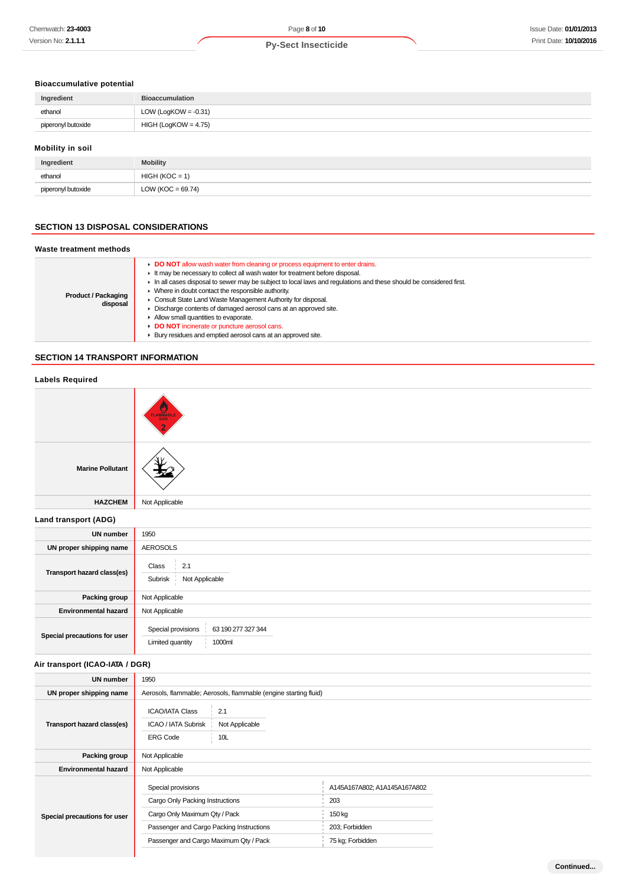## **Bioaccumulative potential**

| Ingredient         | <b>Bioaccumulation</b>  |
|--------------------|-------------------------|
| ethanol            | LOW (LogKOW = $-0.31$ ) |
| piperonyl butoxide | $HIGH (LogKOW = 4.75)$  |
|                    |                         |

## **Mobility in soil**

| Ingredient         | <b>Mobility</b>      |
|--------------------|----------------------|
| ethanol            | $HIGH (KOC = 1)$     |
| piperonyl butoxide | LOW (KOC = $69.74$ ) |

## **SECTION 13 DISPOSAL CONSIDERATIONS**

## **Waste treatment methods**

| <b>Product / Packaging</b><br>disposal |
|----------------------------------------|

## **SECTION 14 TRANSPORT INFORMATION**

| <b>Labels Required</b>          |                                                                                                  |                                               |  |
|---------------------------------|--------------------------------------------------------------------------------------------------|-----------------------------------------------|--|
|                                 |                                                                                                  |                                               |  |
| <b>Marine Pollutant</b>         |                                                                                                  |                                               |  |
| <b>HAZCHEM</b>                  | Not Applicable                                                                                   |                                               |  |
| Land transport (ADG)            |                                                                                                  |                                               |  |
| <b>UN number</b>                | 1950                                                                                             |                                               |  |
| UN proper shipping name         | <b>AEROSOLS</b>                                                                                  |                                               |  |
| Transport hazard class(es)      | 2.1<br>Class<br>Not Applicable<br>Subrisk                                                        |                                               |  |
| Packing group                   | Not Applicable                                                                                   |                                               |  |
| <b>Environmental hazard</b>     | Not Applicable                                                                                   |                                               |  |
| Special precautions for user    | 63 190 277 327 344<br>Special provisions<br>Limited quantity<br>1000ml                           |                                               |  |
| Air transport (ICAO-IATA / DGR) |                                                                                                  |                                               |  |
| <b>UN number</b>                | 1950                                                                                             |                                               |  |
| UN proper shipping name         | Aerosols, flammable; Aerosols, flammable (engine starting fluid)                                 |                                               |  |
| Transport hazard class(es)      | <b>ICAO/IATA Class</b><br>2.1<br>ICAO / IATA Subrisk<br>Not Applicable<br><b>ERG Code</b><br>10L |                                               |  |
| Packing group                   | Not Applicable                                                                                   |                                               |  |
| <b>Environmental hazard</b>     | Not Applicable                                                                                   |                                               |  |
| Special precautions for user    | Special provisions<br>Cargo Only Packing Instructions<br>Cargo Only Maximum Qty / Pack           | A145A167A802; A1A145A167A802<br>203<br>150 kg |  |
|                                 | Passenger and Cargo Packing Instructions                                                         | 203; Forbidden                                |  |
|                                 | Passenger and Cargo Maximum Qty / Pack                                                           | 75 kg; Forbidden                              |  |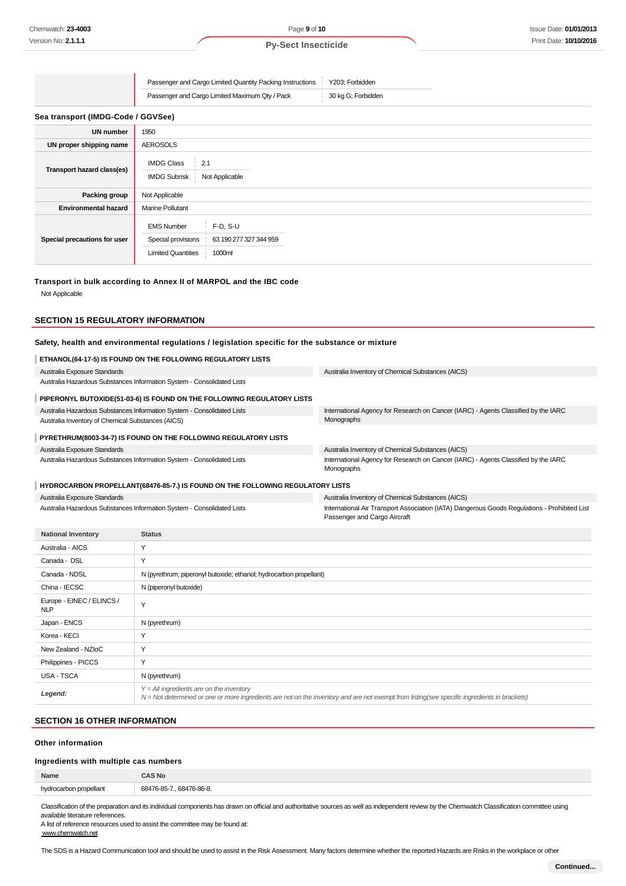| Passenger and Cargo Limited Quantity Packing Instructions | Y203: Forbidden    |
|-----------------------------------------------------------|--------------------|
| Passenger and Cargo Limited Maximum Qty / Pack            | 30 kg G; Forbidden |

**Sea transport (IMDG-Code / GGVSee)**

| <b>UN number</b>             | 1950                                                                                                                   |
|------------------------------|------------------------------------------------------------------------------------------------------------------------|
| UN proper shipping name      | <b>AEROSOLS</b>                                                                                                        |
| Transport hazard class(es)   | <b>IMDG Class</b><br>2.1<br><b>IMDG Subrisk</b><br>Not Applicable                                                      |
| Packing group                | Not Applicable                                                                                                         |
| <b>Environmental hazard</b>  | <b>Marine Pollutant</b>                                                                                                |
| Special precautions for user | $F-D, S-U$<br><b>EMS Number</b><br>Special provisions<br>63 190 277 327 344 959<br>1000ml<br><b>Limited Quantities</b> |

#### **Transport in bulk according to Annex II of MARPOL and the IBC code**

Not Applicable

## **SECTION 15 REGULATORY INFORMATION**

#### **Safety, health and environmental regulations / legislation specific for the substance or mixture**

| ETHANOL(64-17-5) IS FOUND ON THE FOLLOWING REGULATORY LISTS                    |                                                                                                  |  |  |  |
|--------------------------------------------------------------------------------|--------------------------------------------------------------------------------------------------|--|--|--|
| Australia Exposure Standards                                                   | Australia Inventory of Chemical Substances (AICS)                                                |  |  |  |
| Australia Hazardous Substances Information System - Consolidated Lists         |                                                                                                  |  |  |  |
| PIPERONYL BUTOXIDE(51-03-6) IS FOUND ON THE FOLLOWING REGULATORY LISTS         |                                                                                                  |  |  |  |
| Australia Hazardous Substances Information System - Consolidated Lists         | International Agency for Research on Cancer (IARC) - Agents Classified by the IARC               |  |  |  |
| Australia Inventory of Chemical Substances (AICS)                              | Monographs                                                                                       |  |  |  |
| PYRETHRUM(8003-34-7) IS FOUND ON THE FOLLOWING REGULATORY LISTS                |                                                                                                  |  |  |  |
| Australia Exposure Standards                                                   | Australia Inventory of Chemical Substances (AICS)                                                |  |  |  |
| Australia Hazardous Substances Information System - Consolidated Lists         | International Agency for Research on Cancer (IARC) - Agents Classified by the IARC<br>Monographs |  |  |  |
| HYDROCARBON PROPELLANT(68476-85-7.) IS FOUND ON THE FOLLOWING REGULATORY LISTS |                                                                                                  |  |  |  |
| Australia Exposure Standards                                                   | Australia Inventory of Chemical Substances (AICS)                                                |  |  |  |

Australia Hazardous Substances Information System - Consolidated Lists

bry of Chemical Substances (AICS) International Air Transport Association (IATA) Dangerous Goods Regulations - Prohibited List Passenger and Cargo Aircraft

| <b>National Inventory</b>               | <b>Status</b>                                                                                                                                                                                |
|-----------------------------------------|----------------------------------------------------------------------------------------------------------------------------------------------------------------------------------------------|
| Australia - AICS                        | Y                                                                                                                                                                                            |
| Canada - DSL                            | Y                                                                                                                                                                                            |
| Canada - NDSL                           | N (pyrethrum; piperonyl butoxide; ethanol; hydrocarbon propellant)                                                                                                                           |
| China - IECSC                           | N (piperonyl butoxide)                                                                                                                                                                       |
| Europe - EINEC / ELINCS /<br><b>NLP</b> | Y                                                                                                                                                                                            |
| Japan - ENCS                            | N (pyrethrum)                                                                                                                                                                                |
| Korea - KECI                            | Y                                                                                                                                                                                            |
| New Zealand - NZIoC                     | Y                                                                                                                                                                                            |
| Philippines - PICCS                     | Y                                                                                                                                                                                            |
| USA - TSCA                              | N (pyrethrum)                                                                                                                                                                                |
| Legend:                                 | $Y = All$ ingredients are on the inventory<br>$N = Not$ determined or one or more ingredients are not on the inventory and are not exempt from listing(see specific ingredients in brackets) |

#### **SECTION 16 OTHER INFORMATION**

#### **Other information**

#### **Ingredients with multiple cas numbers**

| Name                         | AS No       |
|------------------------------|-------------|
| nin<br>arbon propellant<br>. | 68476-86-8. |
|                              |             |

Classification of the preparation and its individual components has drawn on official and authoritative sources as well as independent review by the Chemwatch Classification committee using available literature references.

A list of reference resources used to assist the committee may be found at: www.chemwatch.net

The SDS is a Hazard Communication tool and should be used to assist in the Risk Assessment. Many factors determine whether the reported Hazards are Risks in the workplace or other